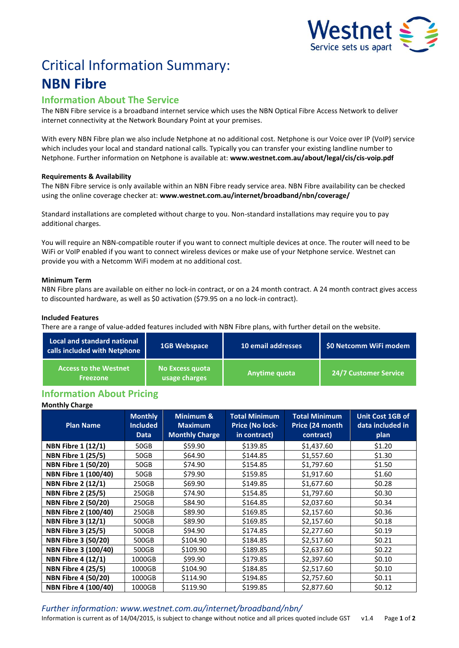

# Critical Information Summary: **NBN Fibre**

# **Information About The Service**

The NBN Fibre service is a broadband internet service which uses the NBN Optical Fibre Access Network to deliver internet connectivity at the Network Boundary Point at your premises.

With every NBN Fibre plan we also include Netphone at no additional cost. Netphone is our Voice over IP (VoIP) service which includes your local and standard national calls. Typically you can transfer your existing landline number to Netphone. Further information on Netphone is available at: **www.westnet.com.au/about/legal/cis/cis-voip.pdf**

## **Requirements & Availability**

The NBN Fibre service is only available within an NBN Fibre ready service area. NBN Fibre availability can be checked using the online coverage checker at: **www.westnet.com.au/internet/broadband/nbn/coverage/**

Standard installations are completed without charge to you. Non-standard installations may require you to pay additional charges.

You will require an NBN-compatible router if you want to connect multiple devices at once. The router will need to be WiFi or VoIP enabled if you want to connect wireless devices or make use of your Netphone service. Westnet can provide you with a Netcomm WiFi modem at no additional cost.

### **Minimum Term**

NBN Fibre plans are available on either no lock-in contract, or on a 24 month contract. A 24 month contract gives access to discounted hardware, as well as \$0 activation (\$79.95 on a no lock-in contract).

### **Included Features**

There are a range of value-added features included with NBN Fibre plans, with further detail on the website.

| Local and standard national<br>calls included with Netphone | <b>1GB Webspace</b>                  | 10 email addresses | \$0 Netcomm WiFi modem       |  |
|-------------------------------------------------------------|--------------------------------------|--------------------|------------------------------|--|
| <b>Access to the Westnet</b><br><b>Freezone</b>             | l No Excess quota '<br>usage charges | Anytime quota      | <b>24/7 Customer Service</b> |  |

# **Information About Pricing**

## **Monthly Charge**

| <b>Plan Name</b>            | <b>Monthly</b><br><b>Included</b><br><b>Data</b> | Minimum &<br><b>Maximum</b><br><b>Monthly Charge</b> | <b>Total Minimum</b><br>Price (No lock-<br>in contract) | <b>Total Minimum</b><br>Price (24 month<br>contract) | <b>Unit Cost 1GB of</b><br>data included in<br>plan |
|-----------------------------|--------------------------------------------------|------------------------------------------------------|---------------------------------------------------------|------------------------------------------------------|-----------------------------------------------------|
| <b>NBN Fibre 1 (12/1)</b>   | 50GB                                             | \$59.90                                              | \$139.85                                                | \$1,437.60                                           | \$1.20                                              |
| <b>NBN Fibre 1 (25/5)</b>   | 50GB                                             | \$64.90                                              | \$144.85                                                | \$1,557.60                                           | \$1.30                                              |
| <b>NBN Fibre 1 (50/20)</b>  | 50GB                                             | \$74.90                                              | \$154.85                                                | \$1,797.60                                           | \$1.50                                              |
| NBN Fibre 1 (100/40)        | 50GB                                             | \$79.90                                              | \$159.85                                                | \$1,917.60                                           | \$1.60                                              |
| <b>NBN Fibre 2 (12/1)</b>   | 250GB                                            | \$69.90                                              | \$149.85                                                | \$1,677.60                                           | \$0.28                                              |
| <b>NBN Fibre 2 (25/5)</b>   | 250GB                                            | \$74.90                                              | \$154.85                                                | \$1,797.60                                           | \$0.30                                              |
| <b>NBN Fibre 2 (50/20)</b>  | 250GB                                            | \$84.90                                              | \$164.85                                                | \$2,037.60                                           | \$0.34                                              |
| NBN Fibre 2 (100/40)        | 250GB                                            | \$89.90                                              | \$169.85                                                | \$2,157.60                                           | \$0.36                                              |
| <b>NBN Fibre 3 (12/1)</b>   | 500GB                                            | \$89.90                                              | \$169.85                                                | \$2,157.60                                           | \$0.18                                              |
| <b>NBN Fibre 3 (25/5)</b>   | 500GB                                            | \$94.90                                              | \$174.85                                                | \$2,277.60                                           | \$0.19                                              |
| <b>NBN Fibre 3 (50/20)</b>  | 500GB                                            | \$104.90                                             | \$184.85                                                | \$2,517.60                                           | \$0.21                                              |
| <b>NBN Fibre 3 (100/40)</b> | 500GB                                            | \$109.90                                             | \$189.85                                                | \$2,637.60                                           | \$0.22                                              |
| <b>NBN Fibre 4 (12/1)</b>   | 1000GB                                           | \$99.90                                              | \$179.85                                                | \$2,397.60                                           | \$0.10                                              |
| <b>NBN Fibre 4 (25/5)</b>   | 1000GB                                           | \$104.90                                             | \$184.85                                                | \$2,517.60                                           | \$0.10                                              |
| <b>NBN Fibre 4 (50/20)</b>  | 1000GB                                           | \$114.90                                             | \$194.85                                                | \$2,757.60                                           | \$0.11                                              |
| <b>NBN Fibre 4 (100/40)</b> | 1000GB                                           | \$119.90                                             | \$199.85                                                | \$2,877.60                                           | \$0.12                                              |

*Further information: www.westnet.com.au/internet/broadband/nbn/*

Information is current as of 14/04/2015, is subject to change without notice and all prices quoted include GST v1.4 Page **1** of **2**